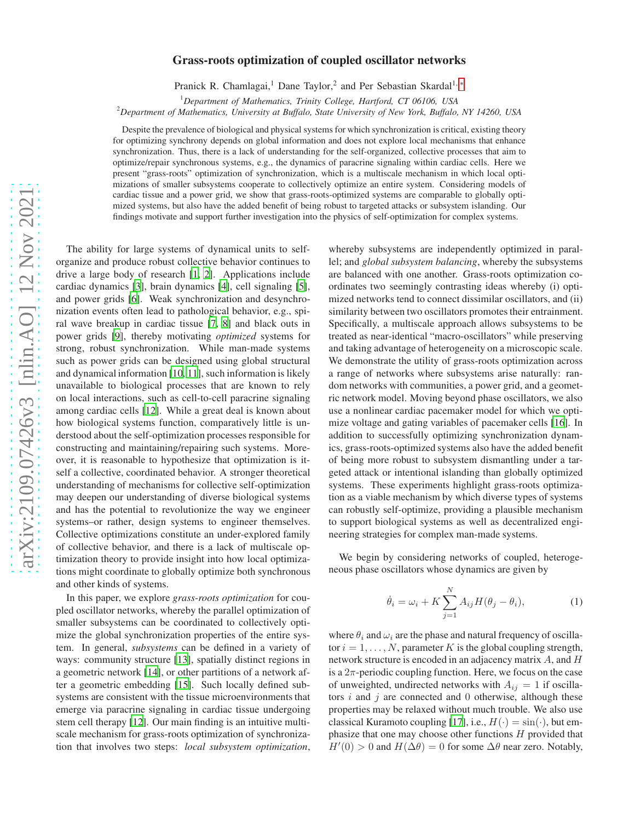# arXiv:2109.07426v3 [nlin.AO] 12 Nov 2021 [arXiv:2109.07426v3 \[nlin.AO\] 12 Nov 2021](http://arxiv.org/abs/2109.07426v3)

# Grass-roots optimization of coupled oscillator networks

Pranick R. Chamlagai,<sup>1</sup> Dane Taylor,<sup>2</sup> and Per Sebastian Skardal<sup>1, \*</sup>

<sup>1</sup>*Department of Mathematics, Trinity College, Hartford, CT 06106, USA*

<sup>2</sup>*Department of Mathematics, University at Buffalo, State University of New York, Buffalo, NY 14260, USA*

Despite the prevalence of biological and physical systems for which synchronization is critical, existing theory for optimizing synchrony depends on global information and does not explore local mechanisms that enhance synchronization. Thus, there is a lack of understanding for the self-organized, collective processes that aim to optimize/repair synchronous systems, e.g., the dynamics of paracrine signaling within cardiac cells. Here we present "grass-roots" optimization of synchronization, which is a multiscale mechanism in which local optimizations of smaller subsystems cooperate to collectively optimize an entire system. Considering models of cardiac tissue and a power grid, we show that grass-roots-optimized systems are comparable to globally optimized systems, but also have the added benefit of being robust to targeted attacks or subsystem islanding. Our findings motivate and support further investigation into the physics of self-optimization for complex systems.

The ability for large systems of dynamical units to selforganize and produce robust collective behavior continues to drive a large body of research [\[1,](#page-4-1) [2](#page-4-2)]. Applications include cardiac dynamics [\[3\]](#page-4-3), brain dynamics [\[4\]](#page-4-4), cell signaling [\[5](#page-4-5)], and power grids [\[6\]](#page-4-6). Weak synchronization and desynchronization events often lead to pathological behavior, e.g., spiral wave breakup in cardiac tissue [\[7](#page-4-7), [8\]](#page-4-8) and black outs in power grids [\[9\]](#page-4-9), thereby motivating *optimized* systems for strong, robust synchronization. While man-made systems such as power grids can be designed using global structural and dynamical information [\[10](#page-4-10), [11\]](#page-4-11), such information is likely unavailable to biological processes that are known to rely on local interactions, such as cell-to-cell paracrine signaling among cardiac cells [\[12](#page-4-12)]. While a great deal is known about how biological systems function, comparatively little is understood about the self-optimization processes responsible for constructing and maintaining/repairing such systems. Moreover, it is reasonable to hypothesize that optimization is itself a collective, coordinated behavior. A stronger theoretical understanding of mechanisms for collective self-optimization may deepen our understanding of diverse biological systems and has the potential to revolutionize the way we engineer systems–or rather, design systems to engineer themselves. Collective optimizations constitute an under-explored family of collective behavior, and there is a lack of multiscale optimization theory to provide insight into how local optimizations might coordinate to globally optimize both synchronous and other kinds of systems.

In this paper, we explore *grass-roots optimization* for coupled oscillator networks, whereby the parallel optimization of smaller subsystems can be coordinated to collectively optimize the global synchronization properties of the entire system. In general, *subsystems* can be defined in a variety of ways: community structure [\[13\]](#page-4-13), spatially distinct regions in a geometric network [\[14](#page-4-14)], or other partitions of a network after a geometric embedding [\[15\]](#page-4-15). Such locally defined subsystems are consistent with the tissue microenvironments that emerge via paracrine signaling in cardiac tissue undergoing stem cell therapy [\[12\]](#page-4-12). Our main finding is an intuitive multiscale mechanism for grass-roots optimization of synchronization that involves two steps: *local subsystem optimization*,

whereby subsystems are independently optimized in parallel; and *global subsystem balancing*, whereby the subsystems are balanced with one another. Grass-roots optimization coordinates two seemingly contrasting ideas whereby (i) optimized networks tend to connect dissimilar oscillators, and (ii) similarity between two oscillators promotes their entrainment. Specifically, a multiscale approach allows subsystems to be treated as near-identical "macro-oscillators" while preserving and taking advantage of heterogeneity on a microscopic scale. We demonstrate the utility of grass-roots optimization across a range of networks where subsystems arise naturally: random networks with communities, a power grid, and a geometric network model. Moving beyond phase oscillators, we also use a nonlinear cardiac pacemaker model for which we optimize voltage and gating variables of pacemaker cells [\[16\]](#page-4-16). In addition to successfully optimizing synchronization dynamics, grass-roots-optimized systems also have the added benefit of being more robust to subsystem dismantling under a targeted attack or intentional islanding than globally optimized systems. These experiments highlight grass-roots optimization as a viable mechanism by which diverse types of systems can robustly self-optimize, providing a plausible mechanism to support biological systems as well as decentralized engineering strategies for complex man-made systems.

We begin by considering networks of coupled, heterogeneous phase oscillators whose dynamics are given by

$$
\dot{\theta}_i = \omega_i + K \sum_{j=1}^{N} A_{ij} H(\theta_j - \theta_i), \qquad (1)
$$

where  $\theta_i$  and  $\omega_i$  are the phase and natural frequency of oscillator  $i = 1, \ldots, N$ , parameter K is the global coupling strength, network structure is encoded in an adjacency matrix A, and H is a  $2\pi$ -periodic coupling function. Here, we focus on the case of unweighted, undirected networks with  $A_{ij} = 1$  if oscillators  $i$  and  $j$  are connected and 0 otherwise, although these properties may be relaxed without much trouble. We also use classical Kuramoto coupling [\[17](#page-4-17)], i.e.,  $H(\cdot) = \sin(\cdot)$ , but emphasize that one may choose other functions  $H$  provided that  $H'(0) > 0$  and  $H(\Delta \theta) = 0$  for some  $\Delta \theta$  near zero. Notably,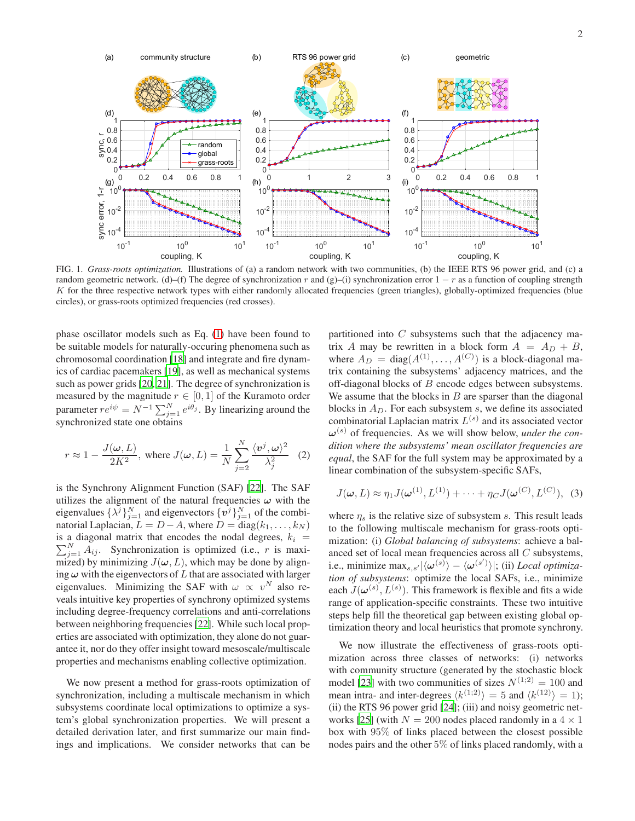

<span id="page-1-0"></span>FIG. 1. *Grass-roots optimization.* Illustrations of (a) a random network with two communities, (b) the IEEE RTS 96 power grid, and (c) a random geometric network. (d)–(f) The degree of synchronization r and (g)–(i) synchronization error  $1 - r$  as a function of coupling strength K for the three respective network types with either randomly allocated frequencies (green triangles), globally-optimized frequencies (blue circles), or grass-roots optimized frequencies (red crosses).

phase oscillator models such as Eq. [\(1\)](#page-5-0) have been found to be suitable models for naturally-occuring phenomena such as chromosomal coordination [\[18\]](#page-4-18) and integrate and fire dynamics of cardiac pacemakers [\[19](#page-4-19)], as well as mechanical systems such as power grids [\[20,](#page-4-20) [21\]](#page-4-21). The degree of synchronization is measured by the magnitude  $r \in [0, 1]$  of the Kuramoto order parameter  $re^{i\psi} = N^{-1} \sum_{j=1}^{N} e^{i\theta_j}$ . By linearizing around the synchronized state one obtains

$$
r \approx 1 - \frac{J(\omega, L)}{2K^2}
$$
, where  $J(\omega, L) = \frac{1}{N} \sum_{j=2}^{N} \frac{\langle v^j, \omega \rangle^2}{\lambda_j^2}$  (2)

is the Synchrony Alignment Function (SAF) [\[22](#page-4-22)]. The SAF utilizes the alignment of the natural frequencies  $\omega$  with the eigenvalues  $\{\lambda^j\}_{j=1}^N$  and eigenvectors  $\{v^j\}_{j=1}^N$  of the combinatorial Laplacian,  $L = D - A$ , where  $D = diag(k_1, \ldots, k_N)$ is a diagonal matrix that encodes the nodal degrees,  $k_i$  =  $\sum_{j=1}^{N} A_{ij}$ . Synchronization is optimized (i.e., r is maximized) by minimizing  $J(\omega, L)$ , which may be done by aligning  $\omega$  with the eigenvectors of L that are associated with larger eigenvalues. Minimizing the SAF with  $\omega \propto v^N$  also reveals intuitive key properties of synchrony optimized systems including degree-frequency correlations and anti-correlations between neighboring frequencies [\[22\]](#page-4-22). While such local properties are associated with optimization, they alone do not guarantee it, nor do they offer insight toward mesoscale/multiscale properties and mechanisms enabling collective optimization.

We now present a method for grass-roots optimization of synchronization, including a multiscale mechanism in which subsystems coordinate local optimizations to optimize a system's global synchronization properties. We will present a detailed derivation later, and first summarize our main findings and implications. We consider networks that can be

partitioned into  $C$  subsystems such that the adjacency matrix A may be rewritten in a block form  $A = A_D + B$ , where  $A_D = \text{diag}(A^{(1)}, \dots, A^{(C)})$  is a block-diagonal matrix containing the subsystems' adjacency matrices, and the off-diagonal blocks of B encode edges between subsystems. We assume that the blocks in  $B$  are sparser than the diagonal blocks in  $A_D$ . For each subsystem s, we define its associated combinatorial Laplacian matrix  $L^{(s)}$  and its associated vector  $\boldsymbol{\omega}^{(s)}$  of frequencies. As we will show below, *under the condition where the subsystems' mean oscillator frequencies are equal*, the SAF for the full system may be approximated by a linear combination of the subsystem-specific SAFs,

$$
J(\boldsymbol{\omega}, L) \approx \eta_1 J(\boldsymbol{\omega}^{(1)}, L^{(1)}) + \cdots + \eta_C J(\boldsymbol{\omega}^{(C)}, L^{(C)}), \quad (3)
$$

where  $\eta_s$  is the relative size of subsystem s. This result leads to the following multiscale mechanism for grass-roots optimization: (i) *Global balancing of subsystems*: achieve a balanced set of local mean frequencies across all C subsystems, i.e., minimize max<sub>s,s'</sub> $|\langle \omega^{(s)} \rangle - \langle \omega^{(s')} \rangle|$ ; (ii) *Local optimization of subsystems*: optimize the local SAFs, i.e., minimize each  $J(\boldsymbol{\omega}^{(s)}, L^{(s)})$ . This framework is flexible and fits a wide range of application-specific constraints. These two intuitive steps help fill the theoretical gap between existing global optimization theory and local heuristics that promote synchrony.

We now illustrate the effectiveness of grass-roots optimization across three classes of networks: (i) networks with community structure (generated by the stochastic block model [\[23\]](#page-4-23) with two communities of sizes  $N^{(1,2)} = 100$  and mean intra- and inter-degrees  $\langle k^{(1;2)} \rangle = 5$  and  $\langle k^{(12)} \rangle = 1$ ); (ii) the RTS 96 power grid [\[24\]](#page-4-24); (iii) and noisy geometric net-works [\[25](#page-4-25)] (with  $N = 200$  nodes placed randomly in a  $4 \times 1$ box with 95% of links placed between the closest possible nodes pairs and the other 5% of links placed randomly, with a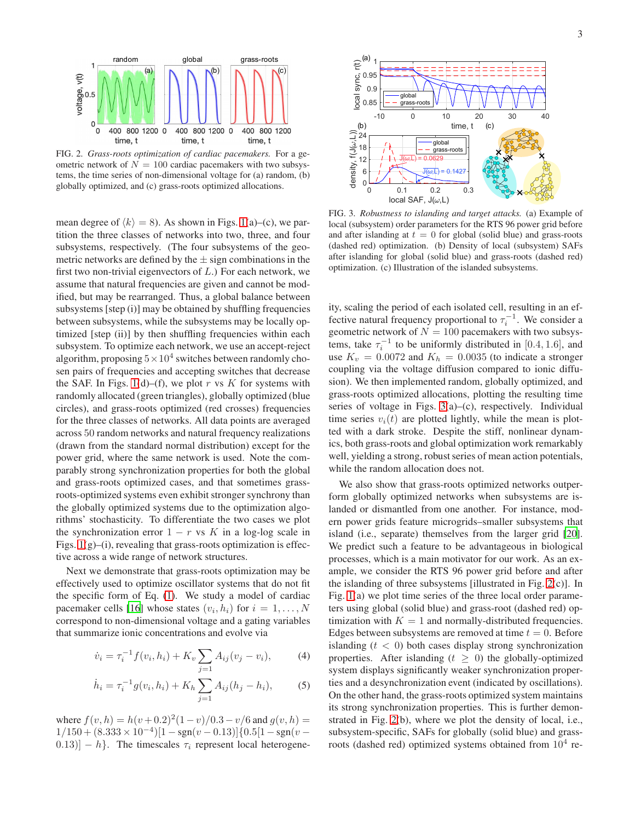

<span id="page-2-1"></span>FIG. 2. *Grass-roots optimization of cardiac pacemakers.* For a geometric network of  $N = 100$  cardiac pacemakers with two subsystems, the time series of non-dimensional voltage for (a) random, (b) globally optimized, and (c) grass-roots optimized allocations.

mean degree of  $\langle k \rangle = 8$ ). As shown in Figs. [1\(](#page-1-0)a)–(c), we partition the three classes of networks into two, three, and four subsystems, respectively. (The four subsystems of the geometric networks are defined by the  $\pm$  sign combinations in the first two non-trivial eigenvectors of  $L$ .) For each network, we assume that natural frequencies are given and cannot be modified, but may be rearranged. Thus, a global balance between subsystems [step (i)] may be obtained by shuffling frequencies between subsystems, while the subsystems may be locally optimized [step (ii)] by then shuffling frequencies within each subsystem. To optimize each network, we use an accept-reject algorithm, proposing  $5 \times 10^4$  switches between randomly chosen pairs of frequencies and accepting switches that decrease the SAF. In Figs. [1\(](#page-1-0)d)–(f), we plot r vs K for systems with randomly allocated (green triangles), globally optimized (blue circles), and grass-roots optimized (red crosses) frequencies for the three classes of networks. All data points are averaged across 50 random networks and natural frequency realizations (drawn from the standard normal distribution) except for the power grid, where the same network is used. Note the comparably strong synchronization properties for both the global and grass-roots optimized cases, and that sometimes grassroots-optimized systems even exhibit stronger synchrony than the globally optimized systems due to the optimization algorithms' stochasticity. To differentiate the two cases we plot the synchronization error  $1 - r$  vs K in a log-log scale in Figs.  $1(g)$ –(i), revealing that grass-roots optimization is effective across a wide range of network structures.

Next we demonstrate that grass-roots optimization may be effectively used to optimize oscillator systems that do not fit the specific form of Eq. [\(1\)](#page-5-0). We study a model of cardiac pacemaker cells [\[16](#page-4-16)] whose states  $(v_i, h_i)$  for  $i = 1, ..., N$ correspond to non-dimensional voltage and a gating variables that summarize ionic concentrations and evolve via

$$
\dot{v}_i = \tau_i^{-1} f(v_i, h_i) + K_v \sum_{j=1} A_{ij} (v_j - v_i), \tag{4}
$$

$$
\dot{h}_i = \tau_i^{-1} g(v_i, h_i) + K_h \sum_{j=1} A_{ij} (h_j - h_i), \tag{5}
$$

where  $f(v, h) = h(v+0.2)^2(1-v)/0.3-v/6$  and  $g(v, h) =$  $1/150 + (8.333 \times 10^{-4})[1 - \text{sgn}(v - 0.13)]\{0.5[1 - \text{sgn}(v (0.13)$ ] – h}. The timescales  $\tau_i$  represent local heterogene-



<span id="page-2-0"></span>FIG. 3. *Robustness to islanding and target attacks.* (a) Example of local (subsystem) order parameters for the RTS 96 power grid before and after islanding at  $t = 0$  for global (solid blue) and grass-roots (dashed red) optimization. (b) Density of local (subsystem) SAFs after islanding for global (solid blue) and grass-roots (dashed red) optimization. (c) Illustration of the islanded subsystems.

ity, scaling the period of each isolated cell, resulting in an effective natural frequency proportional to  $\tau_i^{-1}$ . We consider a geometric network of  $N = 100$  pacemakers with two subsystems, take  $\tau_i^{-1}$  to be uniformly distributed in [0.4, 1.6], and use  $K_v = 0.0072$  and  $K_h = 0.0035$  (to indicate a stronger coupling via the voltage diffusion compared to ionic diffusion). We then implemented random, globally optimized, and grass-roots optimized allocations, plotting the resulting time series of voltage in Figs. [3\(](#page-2-0)a)–(c), respectively. Individual time series  $v_i(t)$  are plotted lightly, while the mean is plotted with a dark stroke. Despite the stiff, nonlinear dynamics, both grass-roots and global optimization work remarkably well, yielding a strong, robust series of mean action potentials, while the random allocation does not.

We also show that grass-roots optimized networks outperform globally optimized networks when subsystems are islanded or dismantled from one another. For instance, modern power grids feature microgrids–smaller subsystems that island (i.e., separate) themselves from the larger grid [\[20](#page-4-20)]. We predict such a feature to be advantageous in biological processes, which is a main motivator for our work. As an example, we consider the RTS 96 power grid before and after the islanding of three subsystems [illustrated in Fig. [2\(](#page-2-1)c)]. In Fig. [1\(](#page-1-0)a) we plot time series of the three local order parameters using global (solid blue) and grass-root (dashed red) optimization with  $K = 1$  and normally-distributed frequencies. Edges between subsystems are removed at time  $t = 0$ . Before islanding  $(t < 0)$  both cases display strong synchronization properties. After islanding  $(t \geq 0)$  the globally-optimized system displays significantly weaker synchronization properties and a desynchronization event (indicated by oscillations). On the other hand, the grass-roots optimized system maintains its strong synchronization properties. This is further demonstrated in Fig. [2\(](#page-2-1)b), where we plot the density of local, i.e., subsystem-specific, SAFs for globally (solid blue) and grassroots (dashed red) optimized systems obtained from  $10^4$  re-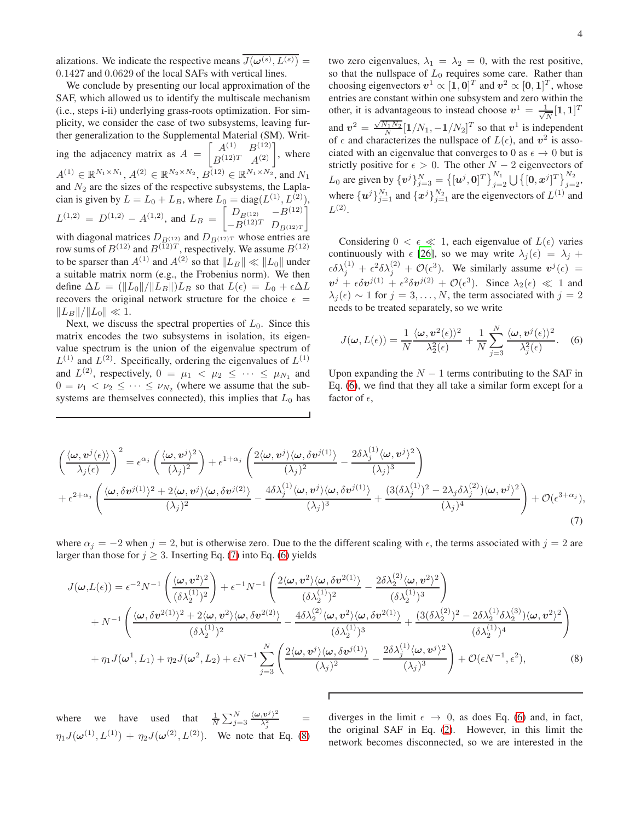alizations. We indicate the respective means  $J(\boldsymbol{\omega}^{(s)}, L^{(s)}) =$ 0.1427 and 0.0629 of the local SAFs with vertical lines.

We conclude by presenting our local approximation of the SAF, which allowed us to identify the multiscale mechanism (i.e., steps i-ii) underlying grass-roots optimization. For simplicity, we consider the case of two subsystems, leaving further generalization to the Supplemental Material (SM). Writing the adjacency matrix as  $A = \begin{bmatrix} A^{(1)} & B^{(12)} \\ B^{(12)T} & A^{(2)} \end{bmatrix}$ , where  $A^{(1)} \in \mathbb{R}^{N_1 \times N_1}$ ,  $A^{(2)} \in \mathbb{R}^{N_2 \times N_2}$ ,  $B^{(12)} \in \mathbb{R}^{N_1 \times N_2}$ , and  $N_1$ and  $N_2$  are the sizes of the respective subsystems, the Laplacian is given by  $L = L_0 + L_B$ , where  $L_0 = diag(L^{(1)}, L^{(2)}),$  $L^{(1,2)} = D^{(1,2)} - A^{(1,2)}$ , and  $L_B = \begin{bmatrix} D_{B^{(12)}} & -B^{(12)} \\ -B^{(12)T} & D_{B^{(12)T}} \end{bmatrix}$  $-B^{(12)T}$   $D_{B^{(12)T}}$ 1 with diagonal matrices  $D_{B(12)}$  and  $D_{B(12)T}$  whose entries are row sums of  $B^{(12)}$  and  $B^{(12)T}$ , respectively. We assume  $B^{(12)}$ to be sparser than  $A^{(1)}$  and  $A^{(2)}$  so that  $||L_B|| \ll ||L_0||$  under a suitable matrix norm (e.g., the Frobenius norm). We then define  $\Delta L = (\Vert L_0 \Vert / \Vert L_B \Vert) L_B$  so that  $L(\epsilon) = L_0 + \epsilon \Delta L$ recovers the original network structure for the choice  $\epsilon$  =  $||L_B||/||L_0|| \ll 1.$ 

Next, we discuss the spectral properties of  $L_0$ . Since this matrix encodes the two subsystems in isolation, its eigenvalue spectrum is the union of the eigenvalue spectrum of  $L^{(1)}$  and  $L^{(2)}$ . Specifically, ordering the eigenvalues of  $L^{(1)}$ and  $L^{(2)}$ , respectively,  $0 = \mu_1 < \mu_2 \leq \cdots \leq \mu_{N_1}$  and  $0 = \nu_1 < \nu_2 \leq \cdots \leq \nu_{N_2}$  (where we assume that the subsystems are themselves connected), this implies that  $L_0$  has

two zero eigenvalues,  $\lambda_1 = \lambda_2 = 0$ , with the rest positive, so that the nullspace of  $L_0$  requires some care. Rather than choosing eigenvectors  $v^1 \propto [1, 0]^T$  and  $v^2 \propto [0, 1]^T$ , whose entries are constant within one subsystem and zero within the other, it is advantageous to instead choose  $v^1 = \frac{1}{\sqrt{2}}$  $\frac{1}{N}[\mathbf{1},\mathbf{1}]^T$ and  $v^2 = \frac{\sqrt{N_1 N_2}}{N} [1/N_1, -1/N_2]^T$  so that  $v^1$  is independent of  $\epsilon$  and characterizes the nullspace of  $L(\epsilon)$ , and  $v^2$  is associated with an eigenvalue that converges to 0 as  $\epsilon \to 0$  but is strictly positive for  $\epsilon > 0$ . The other  $N - 2$  eigenvectors of  $L_0$  are given by  $\{v^j\}_{j=3}^N = \left\{ [u^j, 0]^T \right\}_{j=2}^{N_1} \bigcup \left\{ [0, x^j]^T \right\}_{j=2}^{N_2}$ where  $\{u^j\}_{j=1}^{N_1}$  and  $\{x^j\}_{j=1}^{N_2}$  are the eigenvectors of  $L^{(1)}$  and  $L^{(2)}$ .

Considering  $0 < \epsilon \ll 1$ , each eigenvalue of  $L(\epsilon)$  varies continuously with  $\epsilon$  [\[26\]](#page-4-26), so we may write  $\lambda_j(\epsilon) = \lambda_j + \epsilon$  $\epsilon \delta \lambda_j^{(1)} + \epsilon^2 \delta \lambda_j^{(2)} + \mathcal{O}(\epsilon^3)$ . We similarly assume  $v^j(\epsilon) =$  $v^j + \epsilon \delta v^{j(1)} + \epsilon^2 \delta v^{j(2)} + \mathcal{O}(\epsilon^3)$ . Since  $\lambda_2(\epsilon) \ll 1$  and  $\lambda_j(\epsilon) \sim 1$  for  $j = 3, \ldots, N$ , the term associated with  $j = 2$ needs to be treated separately, so we write

$$
J(\boldsymbol{\omega}, L(\epsilon)) = \frac{1}{N} \frac{\langle \boldsymbol{\omega}, \boldsymbol{v}^2(\epsilon) \rangle^2}{\lambda_2^2(\epsilon)} + \frac{1}{N} \sum_{j=3}^N \frac{\langle \boldsymbol{\omega}, \boldsymbol{v}^j(\epsilon) \rangle^2}{\lambda_j^2(\epsilon)}.
$$
 (6)

Upon expanding the  $N - 1$  terms contributing to the SAF in Eq. [\(6\)](#page-5-1), we find that they all take a similar form except for a factor of  $\epsilon$ ,

$$
\left(\frac{\langle \omega, v^{j}(\epsilon) \rangle}{\lambda_{j}(\epsilon)}\right)^{2} = \epsilon^{\alpha_{j}} \left(\frac{\langle \omega, v^{j} \rangle^{2}}{(\lambda_{j})^{2}}\right) + \epsilon^{1+\alpha_{j}} \left(\frac{2\langle \omega, v^{j} \rangle \langle \omega, \delta v^{j(1)} \rangle}{(\lambda_{j})^{2}} - \frac{2\delta\lambda_{j}^{(1)} \langle \omega, v^{j} \rangle^{2}}{(\lambda_{j})^{3}}\right) + \epsilon^{2+\alpha_{j}} \left(\frac{\langle \omega, \delta v^{j(1)} \rangle^{2} + 2\langle \omega, v^{j} \rangle \langle \omega, \delta v^{j(2)} \rangle}{(\lambda_{j})^{2}} - \frac{4\delta\lambda_{j}^{(1)} \langle \omega, v^{j} \rangle \langle \omega, \delta v^{j(1)} \rangle}{(\lambda_{j})^{3}} + \frac{(3(\delta\lambda_{j}^{(1)})^{2} - 2\lambda_{j}\delta\lambda_{j}^{(2)})\langle \omega, v^{j} \rangle^{2}}{(\lambda_{j})^{4}}\right) + \mathcal{O}(\epsilon^{3+\alpha_{j}}),
$$
\n(7)

where  $\alpha_j = -2$  when  $j = 2$ , but is otherwise zero. Due to the the different scaling with  $\epsilon$ , the terms associated with  $j = 2$  are larger than those for  $j \geq 3$ . Inserting Eq. [\(7\)](#page-6-0) into Eq. [\(6\)](#page-5-1) yields

$$
J(\boldsymbol{\omega}, L(\epsilon)) = \epsilon^{-2} N^{-1} \left( \frac{\langle \boldsymbol{\omega}, \boldsymbol{v}^2 \rangle^2}{(\delta \lambda_2^{(1)})^2} \right) + \epsilon^{-1} N^{-1} \left( \frac{2 \langle \boldsymbol{\omega}, \boldsymbol{v}^2 \rangle \langle \boldsymbol{\omega}, \delta \boldsymbol{v}^{2(1)} \rangle}{(\delta \lambda_2^{(1)})^2} - \frac{2 \delta \lambda_2^{(2)} \langle \boldsymbol{\omega}, \boldsymbol{v}^2 \rangle^2}{(\delta \lambda_2^{(1)})^3} \right) + N^{-1} \left( \frac{\langle \boldsymbol{\omega}, \delta \boldsymbol{v}^{2(1)} \rangle^2 + 2 \langle \boldsymbol{\omega}, \boldsymbol{v}^2 \rangle \langle \boldsymbol{\omega}, \delta \boldsymbol{v}^{2(2)} \rangle}{(\delta \lambda_2^{(1)})^2} - \frac{4 \delta \lambda_2^{(2)} \langle \boldsymbol{\omega}, \boldsymbol{v}^2 \rangle \langle \boldsymbol{\omega}, \delta \boldsymbol{v}^{2(1)} \rangle}{(\delta \lambda_2^{(1)})^3} + \frac{(3 (\delta \lambda_2^{(2)})^2 - 2 \delta \lambda_2^{(1)} \delta \lambda_2^{(3)}) \langle \boldsymbol{\omega}, \boldsymbol{v}^2 \rangle^2}{(\delta \lambda_2^{(1)})^4} \right) + \eta_1 J(\boldsymbol{\omega}^1, L_1) + \eta_2 J(\boldsymbol{\omega}^2, L_2) + \epsilon N^{-1} \sum_{j=3}^N \left( \frac{2 \langle \boldsymbol{\omega}, \boldsymbol{v}^j \rangle \langle \boldsymbol{\omega}, \delta \boldsymbol{v}^{j(1)} \rangle}{(\lambda_j)^2} - \frac{2 \delta \lambda_j^{(1)} \langle \boldsymbol{\omega}, \boldsymbol{v}^j \rangle^2}{(\lambda_j)^3} \right) + \mathcal{O}(\epsilon N^{-1}, \epsilon^2),
$$
(8)

where we have used that  $\frac{1}{N} \sum_{j=3}^{N} \frac{\langle \omega, v^j \rangle^2}{\lambda_i^2}$  $\lambda_j^2$ =  $\eta_1 J(\boldsymbol{\omega}^{(1)}, L^{(1)}) + \eta_2 J(\boldsymbol{\omega}^{(2)}, L^{(2)})$ . We note that Eq. [\(8\)](#page-6-1)

diverges in the limit  $\epsilon \rightarrow 0$ , as does Eq. [\(6\)](#page-5-1) and, in fact, the original SAF in Eq. [\(2\)](#page-5-2). However, in this limit the network becomes disconnected, so we are interested in the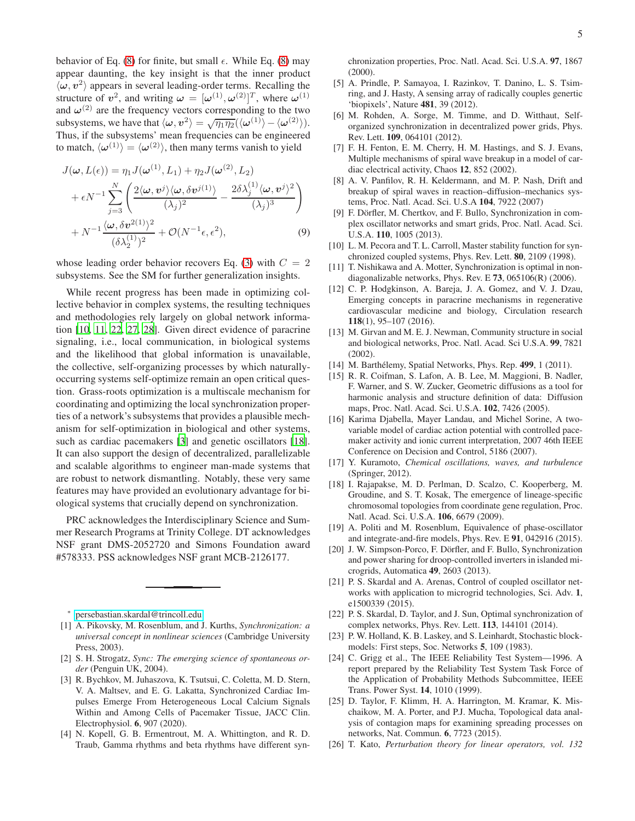behavior of Eq. [\(8\)](#page-6-1) for finite, but small  $\epsilon$ . While Eq. [\(8\)](#page-6-1) may appear daunting, the key insight is that the inner product  $\langle \omega, v^2 \rangle$  appears in several leading-order terms. Recalling the structure of  $v^2$ , and writing  $\omega = [\omega^{(1)}, \omega^{(2)}]^T$ , where  $\omega^{(1)}$ and  $\omega^{(2)}$  are the frequency vectors corresponding to the two subsystems, we have that  $\langle \omega, v^2 \rangle = \sqrt{\eta_1 \eta_2} (\langle \omega^{(1)} \rangle - \langle \omega^{(2)} \rangle).$ Thus, if the subsystems' mean frequencies can be engineered to match,  $\langle \omega^{(1)} \rangle = \langle \omega^{(2)} \rangle$ , then many terms vanish to yield

$$
J(\omega, L(\epsilon)) = \eta_1 J(\omega^{(1)}, L_1) + \eta_2 J(\omega^{(2)}, L_2)
$$
  
+  $\epsilon N^{-1} \sum_{j=3}^N \left( \frac{2 \langle \omega, \boldsymbol{v}^j \rangle \langle \omega, \delta \boldsymbol{v}^{j(1)} \rangle}{(\lambda_j)^2} - \frac{2 \delta \lambda_j^{(1)} \langle \omega, \boldsymbol{v}^j \rangle^2}{(\lambda_j)^3} \right)$   
+  $N^{-1} \frac{\langle \omega, \delta \boldsymbol{v}^{2(1)} \rangle^2}{(\delta \lambda_2^{(1)})^2} + \mathcal{O}(N^{-1} \epsilon, \epsilon^2),$  (9)

whose leading order behavior recovers Eq. [\(3\)](#page-5-3) with  $C = 2$ subsystems. See the SM for further generalization insights.

While recent progress has been made in optimizing collective behavior in complex systems, the resulting techniques and methodologies rely largely on global network information [\[10,](#page-4-10) [11,](#page-4-11) [22](#page-4-22), [27,](#page-5-4) [28\]](#page-5-5). Given direct evidence of paracrine signaling, i.e., local communication, in biological systems and the likelihood that global information is unavailable, the collective, self-organizing processes by which naturallyoccurring systems self-optimize remain an open critical question. Grass-roots optimization is a multiscale mechanism for coordinating and optimizing the local synchronization properties of a network's subsystems that provides a plausible mechanism for self-optimization in biological and other systems, such as cardiac pacemakers [\[3\]](#page-4-3) and genetic oscillators [\[18](#page-4-18)]. It can also support the design of decentralized, parallelizable and scalable algorithms to engineer man-made systems that are robust to network dismantling. Notably, these very same features may have provided an evolutionary advantage for biological systems that crucially depend on synchronization.

PRC acknowledges the Interdisciplinary Science and Summer Research Programs at Trinity College. DT acknowledges NSF grant DMS-2052720 and Simons Foundation award #578333. PSS acknowledges NSF grant MCB-2126177.

- <span id="page-4-1"></span><span id="page-4-0"></span>[1] A. Pikovsky, M. Rosenblum, and J. Kurths, *Synchronization: a universal concept in nonlinear sciences* (Cambridge University Press, 2003).
- <span id="page-4-2"></span>[2] S. H. Strogatz, *Sync: The emerging science of spontaneous order* (Penguin UK, 2004).
- <span id="page-4-3"></span>[3] R. Bychkov, M. Juhaszova, K. Tsutsui, C. Coletta, M. D. Stern, V. A. Maltsev, and E. G. Lakatta, Synchronized Cardiac Impulses Emerge From Heterogeneous Local Calcium Signals Within and Among Cells of Pacemaker Tissue, JACC Clin. Electrophysiol. 6, 907 (2020).
- <span id="page-4-4"></span>[4] N. Kopell, G. B. Ermentrout, M. A. Whittington, and R. D. Traub, Gamma rhythms and beta rhythms have different syn-

chronization properties, Proc. Natl. Acad. Sci. U.S.A. 97, 1867 (2000).

- <span id="page-4-5"></span>[5] A. Prindle, P. Samayoa, I. Razinkov, T. Danino, L. S. Tsimring, and J. Hasty, A sensing array of radically couples genertic 'biopixels', Nature 481, 39 (2012).
- <span id="page-4-6"></span>[6] M. Rohden, A. Sorge, M. Timme, and D. Witthaut, Selforganized synchronization in decentralized power grids, Phys. Rev. Lett. 109, 064101 (2012).
- <span id="page-4-7"></span>[7] F. H. Fenton, E. M. Cherry, H. M. Hastings, and S. J. Evans, Multiple mechanisms of spiral wave breakup in a model of cardiac electrical activity, Chaos 12, 852 (2002).
- <span id="page-4-8"></span>[8] A. V. Panfilov, R. H. Keldermann, and M. P. Nash, Drift and breakup of spiral waves in reaction–diffusion–mechanics systems, Proc. Natl. Acad. Sci. U.S.A 104, 7922 (2007)
- <span id="page-4-9"></span>[9] F. Dörfler, M. Chertkov, and F. Bullo, Synchronization in complex oscillator networks and smart grids, Proc. Natl. Acad. Sci. U.S.A. 110, 1005 (2013).
- <span id="page-4-10"></span>[10] L. M. Pecora and T. L. Carroll, Master stability function for synchronized coupled systems, Phys. Rev. Lett. 80, 2109 (1998).
- <span id="page-4-11"></span>[11] T. Nishikawa and A. Motter, Synchronization is optimal in nondiagonalizable networks, Phys. Rev. E 73, 065106(R) (2006).
- <span id="page-4-12"></span>[12] C. P. Hodgkinson, A. Bareja, J. A. Gomez, and V. J. Dzau, Emerging concepts in paracrine mechanisms in regenerative cardiovascular medicine and biology, Circulation research 118(1), 95–107 (2016).
- <span id="page-4-13"></span>[13] M. Girvan and M. E. J. Newman, Community structure in social and biological networks, Proc. Natl. Acad. Sci U.S.A. 99, 7821 (2002).
- <span id="page-4-14"></span>[14] M. Barthélemy, Spatial Networks, Phys. Rep. 499, 1 (2011).
- <span id="page-4-15"></span>[15] R. R. Coifman, S. Lafon, A. B. Lee, M. Maggioni, B. Nadler, F. Warner, and S. W. Zucker, Geometric diffusions as a tool for harmonic analysis and structure definition of data: Diffusion maps, Proc. Natl. Acad. Sci. U.S.A. 102, 7426 (2005).
- <span id="page-4-16"></span>[16] Karima Djabella, Mayer Landau, and Michel Sorine, A twovariable model of cardiac action potential with controlled pacemaker activity and ionic current interpretation, 2007 46th IEEE Conference on Decision and Control, 5186 (2007).
- <span id="page-4-17"></span>[17] Y. Kuramoto, *Chemical oscillations, waves, and turbulence* (Springer, 2012).
- <span id="page-4-18"></span>[18] I. Rajapakse, M. D. Perlman, D. Scalzo, C. Kooperberg, M. Groudine, and S. T. Kosak, The emergence of lineage-specific chromosomal topologies from coordinate gene regulation, Proc. Natl. Acad. Sci. U.S.A. 106, 6679 (2009).
- <span id="page-4-19"></span>[19] A. Politi and M. Rosenblum, Equivalence of phase-oscillator and integrate-and-fire models, Phys. Rev. E 91, 042916 (2015).
- <span id="page-4-20"></span>[20] J. W. Simpson-Porco, F. Dörfler, and F. Bullo, Synchronization and power sharing for droop-controlled inverters in islanded microgrids, Automatica 49, 2603 (2013).
- <span id="page-4-21"></span>[21] P. S. Skardal and A. Arenas, Control of coupled oscillator networks with application to microgrid technologies, Sci. Adv. 1, e1500339 (2015).
- <span id="page-4-22"></span>[22] P. S. Skardal, D. Taylor, and J. Sun, Optimal synchronization of complex networks, Phys. Rev. Lett. 113, 144101 (2014).
- <span id="page-4-23"></span>[23] P. W. Holland, K. B. Laskey, and S. Leinhardt, Stochastic blockmodels: First steps, Soc. Networks 5, 109 (1983).
- <span id="page-4-24"></span>[24] C. Grigg et al., The IEEE Reliability Test System—1996. A report prepared by the Reliability Test System Task Force of the Application of Probability Methods Subcommittee, IEEE Trans. Power Syst. 14, 1010 (1999).
- <span id="page-4-25"></span>[25] D. Taylor, F. Klimm, H. A. Harrington, M. Kramar, K. Mischaikow, M. A. Porter, and P.J. Mucha, Topological data analysis of contagion maps for examining spreading processes on networks, Nat. Commun. 6, 7723 (2015).
- <span id="page-4-26"></span>[26] T. Kato, *Perturbation theory for linear operators, vol. 132*

<sup>∗</sup> [persebastian.skardal@trincoll.edu](mailto:persebastian.skardal@trincoll.edu)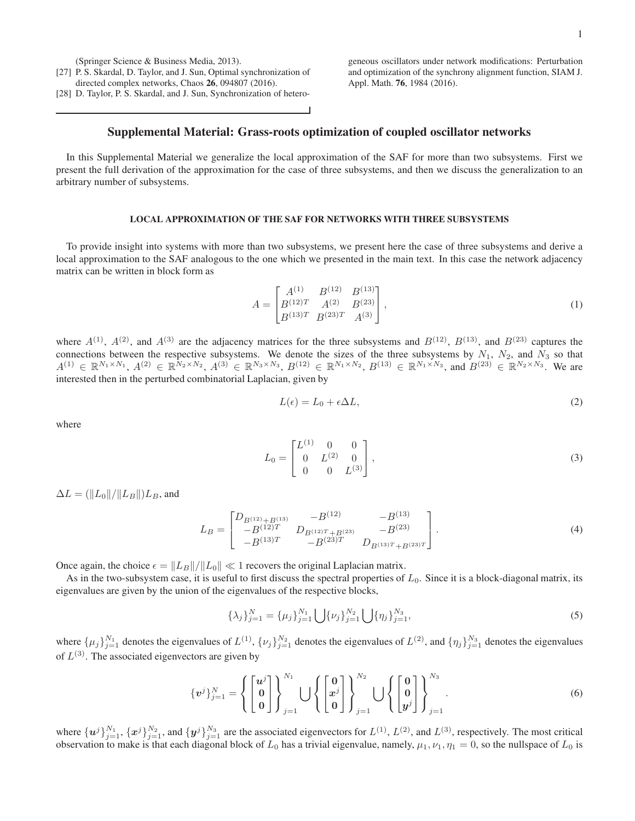(Springer Science & Business Media, 2013).

- <span id="page-5-4"></span>[27] P. S. Skardal, D. Taylor, and J. Sun, Optimal synchronization of directed complex networks, Chaos 26, 094807 (2016).
- <span id="page-5-5"></span>[28] D. Taylor, P. S. Skardal, and J. Sun, Synchronization of hetero-

geneous oscillators under network modifications: Perturbation and optimization of the synchrony alignment function, SIAM J. Appl. Math. 76, 1984 (2016).

# Supplemental Material: Grass-roots optimization of coupled oscillator networks

In this Supplemental Material we generalize the local approximation of the SAF for more than two subsystems. First we present the full derivation of the approximation for the case of three subsystems, and then we discuss the generalization to an arbitrary number of subsystems.

### LOCAL APPROXIMATION OF THE SAF FOR NETWORKS WITH THREE SUBSYSTEMS

To provide insight into systems with more than two subsystems, we present here the case of three subsystems and derive a local approximation to the SAF analogous to the one which we presented in the main text. In this case the network adjacency matrix can be written in block form as

$$
A = \begin{bmatrix} A^{(1)} & B^{(12)} & B^{(13)} \\ B^{(12)T} & A^{(2)} & B^{(23)} \\ B^{(13)T} & B^{(23)T} & A^{(3)} \end{bmatrix},
$$
\n(1)

where  $A^{(1)}$ ,  $A^{(2)}$ , and  $A^{(3)}$  are the adjacency matrices for the three subsystems and  $B^{(12)}$ ,  $B^{(13)}$ , and  $B^{(23)}$  captures the connections between the respective subsystems. We denote the sizes of the three subsystems by  $N_1$ ,  $N_2$ , and  $N_3$  so that  $A^{(1)} \in \mathbb{R}^{N_1 \times N_1}$ ,  $A^{(2)} \in \mathbb{R}^{N_2 \times N_2}$ ,  $A^{(3)} \in \mathbb{R}^{N_3 \times N_3}$ ,  $B^{(12)} \in \mathbb{R}^{N_1 \times N_2}$ ,  $B^{(13)} \in \mathbb{R}^{N_1 \times N_3}$ , and  $B^{(23)} \in \mathbb{R}^{N_2 \times N_3}$ . We are interested then in the perturbed combinatorial Laplacian, given by

<span id="page-5-3"></span><span id="page-5-2"></span><span id="page-5-0"></span>
$$
L(\epsilon) = L_0 + \epsilon \Delta L,\tag{2}
$$

where

$$
L_0 = \begin{bmatrix} L^{(1)} & 0 & 0 \\ 0 & L^{(2)} & 0 \\ 0 & 0 & L^{(3)} \end{bmatrix},
$$
\n(3)

 $\Delta L = (\|L_0\|/\|L_B\|)L_B$ , and

$$
L_B = \begin{bmatrix} D_{B^{(12)} + B^{(13)}} & -B^{(12)} & -B^{(13)} \\ -B^{(12)T} & D_{B^{(12)T} + B^{(23)}} & -B^{(23)} \\ -B^{(13)T} & -B^{(23)T} & D_{B^{(13)T} + B^{(23)T}} \end{bmatrix}.
$$
 (4)

Once again, the choice  $\epsilon = ||L_B||/||L_0|| \ll 1$  recovers the original Laplacian matrix.

As in the two-subsystem case, it is useful to first discuss the spectral properties of  $L_0$ . Since it is a block-diagonal matrix, its eigenvalues are given by the union of the eigenvalues of the respective blocks,

<span id="page-5-1"></span>
$$
\{\lambda_j\}_{j=1}^N = \{\mu_j\}_{j=1}^{N_1} \bigcup \{\nu_j\}_{j=1}^{N_2} \bigcup \{\eta_j\}_{j=1}^{N_3},
$$
\n(5)

where  $\{\mu_j\}_{j=1}^{N_1}$  denotes the eigenvalues of  $L^{(1)}$ ,  $\{\nu_j\}_{j=1}^{N_2}$  denotes the eigenvalues of  $L^{(2)}$ , and  $\{\eta_j\}_{j=1}^{N_3}$  denotes the eigenvalues of  $L^{(3)}$ . The associated eigenvectors are given by

$$
\{\boldsymbol{v}^j\}_{j=1}^N = \left\{ \begin{bmatrix} \boldsymbol{u}^j \\ \boldsymbol{0} \\ \boldsymbol{0} \end{bmatrix} \right\}_{j=1}^{N_1} \bigcup \left\{ \begin{bmatrix} \boldsymbol{0} \\ \boldsymbol{x}^j \\ \boldsymbol{0} \end{bmatrix} \right\}_{j=1}^{N_2} \bigcup \left\{ \begin{bmatrix} \boldsymbol{0} \\ \boldsymbol{0} \\ \boldsymbol{y}^j \end{bmatrix} \right\}_{j=1}^{N_3} . \tag{6}
$$

where  $\{u^j\}_{j=1}^{N_1}$ ,  $\{x^j\}_{j=1}^{N_2}$ , and  $\{y^j\}_{j=1}^{N_3}$  are the associated eigenvectors for  $L^{(1)}$ ,  $L^{(2)}$ , and  $L^{(3)}$ , respectively. The most critical observation to make is that each diagonal block of  $L_0$  has a trivial eigenvalue, namely,  $\mu_1, \nu_1, \eta_1 = 0$ , so the nullspace of  $L_0$  is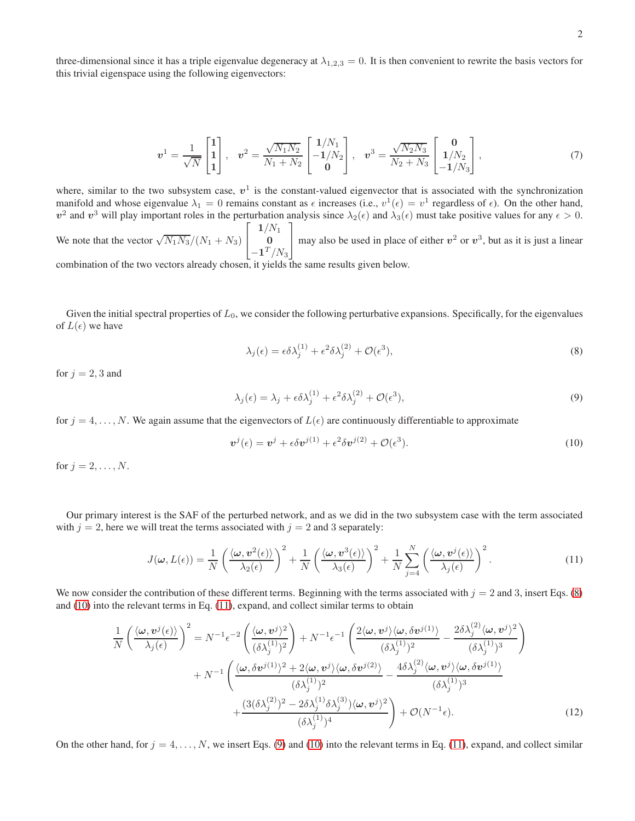three-dimensional since it has a triple eigenvalue degeneracy at  $\lambda_{1,2,3} = 0$ . It is then convenient to rewrite the basis vectors for this trivial eigenspace using the following eigenvectors:

$$
\boldsymbol{v}^{1} = \frac{1}{\sqrt{N}} \begin{bmatrix} 1 \\ 1 \\ 1 \end{bmatrix}, \quad \boldsymbol{v}^{2} = \frac{\sqrt{N_{1} N_{2}}}{N_{1} + N_{2}} \begin{bmatrix} 1/N_{1} \\ -1/N_{2} \\ 0 \end{bmatrix}, \quad \boldsymbol{v}^{3} = \frac{\sqrt{N_{2} N_{3}}}{N_{2} + N_{3}} \begin{bmatrix} 0 \\ 1/N_{2} \\ -1/N_{3} \end{bmatrix}, \tag{7}
$$

where, similar to the two subsystem case,  $v^1$  is the constant-valued eigenvector that is associated with the synchronization manifold and whose eigenvalue  $\lambda_1 = 0$  remains constant as  $\epsilon$  increases (i.e.,  $v^1(\epsilon) = v^1$  regardless of  $\epsilon$ ). On the other hand,  $v^2$  and  $v^3$  will play important roles in the perturbation analysis since  $\lambda_2(\epsilon)$  and  $\lambda_3(\epsilon)$  must take positive values for any  $\epsilon > 0$ . We note that the vector  $\sqrt{N_1 N_3}/(N_1 + N_3)$  $\sqrt{ }$  $\overline{1}$  $1/N_1$  $\overline{0}$  $-1^{T}/N_{3}$ 1 may also be used in place of either  $v^2$  or  $v^3$ , but as it is just a linear

combination of the two vectors already chosen, it yields the same results given below.

Given the initial spectral properties of  $L_0$ , we consider the following perturbative expansions. Specifically, for the eigenvalues of  $L(\epsilon)$  we have

<span id="page-6-4"></span><span id="page-6-2"></span><span id="page-6-1"></span><span id="page-6-0"></span>
$$
\lambda_j(\epsilon) = \epsilon \delta \lambda_j^{(1)} + \epsilon^2 \delta \lambda_j^{(2)} + \mathcal{O}(\epsilon^3),\tag{8}
$$

for  $j = 2, 3$  and

$$
\lambda_j(\epsilon) = \lambda_j + \epsilon \delta \lambda_j^{(1)} + \epsilon^2 \delta \lambda_j^{(2)} + \mathcal{O}(\epsilon^3),\tag{9}
$$

for  $j = 4, \ldots, N$ . We again assume that the eigenvectors of  $L(\epsilon)$  are continuously differentiable to approximate

<span id="page-6-5"></span><span id="page-6-3"></span>
$$
\boldsymbol{v}^{j}(\epsilon) = \boldsymbol{v}^{j} + \epsilon \delta \boldsymbol{v}^{j(1)} + \epsilon^{2} \delta \boldsymbol{v}^{j(2)} + \mathcal{O}(\epsilon^{3}). \tag{10}
$$

for  $j = 2, \ldots, N$ .

Our primary interest is the SAF of the perturbed network, and as we did in the two subsystem case with the term associated with  $j = 2$ , here we will treat the terms associated with  $j = 2$  and 3 separately:

$$
J(\boldsymbol{\omega}, L(\epsilon)) = \frac{1}{N} \left( \frac{\langle \boldsymbol{\omega}, \boldsymbol{v}^2(\epsilon) \rangle}{\lambda_2(\epsilon)} \right)^2 + \frac{1}{N} \left( \frac{\langle \boldsymbol{\omega}, \boldsymbol{v}^3(\epsilon) \rangle}{\lambda_3(\epsilon)} \right)^2 + \frac{1}{N} \sum_{j=4}^N \left( \frac{\langle \boldsymbol{\omega}, \boldsymbol{v}^j(\epsilon) \rangle}{\lambda_j(\epsilon)} \right)^2.
$$
(11)

We now consider the contribution of these different terms. Beginning with the terms associated with  $j = 2$  and 3, insert Eqs. [\(8\)](#page-6-1) and [\(10\)](#page-6-2) into the relevant terms in Eq. [\(11\)](#page-6-3), expand, and collect similar terms to obtain

$$
\frac{1}{N} \left( \frac{\langle \omega, v^j(\epsilon) \rangle}{\lambda_j(\epsilon)} \right)^2 = N^{-1} \epsilon^{-2} \left( \frac{\langle \omega, v^j \rangle^2}{(\delta \lambda_j^{(1)})^2} \right) + N^{-1} \epsilon^{-1} \left( \frac{2 \langle \omega, v^j \rangle \langle \omega, \delta v^{j(1)} \rangle}{(\delta \lambda_j^{(1)})^2} - \frac{2 \delta \lambda_j^{(2)} \langle \omega, v^j \rangle^2}{(\delta \lambda_j^{(1)})^3} \right) \n+ N^{-1} \left( \frac{\langle \omega, \delta v^{j(1)} \rangle^2 + 2 \langle \omega, v^j \rangle \langle \omega, \delta v^{j(2)} \rangle}{(\delta \lambda_j^{(1)})^2} - \frac{4 \delta \lambda_j^{(2)} \langle \omega, v^j \rangle \langle \omega, \delta v^{j(1)} \rangle}{(\delta \lambda_j^{(1)})^3} \right) \n+ \frac{(3 (\delta \lambda_j^{(2)})^2 - 2 \delta \lambda_j^{(1)} \delta \lambda_j^{(3)}) \langle \omega, v^j \rangle^2}{(\delta \lambda_j^{(1)})^4} \right) + \mathcal{O}(N^{-1} \epsilon). \tag{12}
$$

On the other hand, for  $j = 4, \ldots, N$ , we insert Eqs. [\(9\)](#page-6-4) and [\(10\)](#page-6-2) into the relevant terms in Eq. [\(11\)](#page-6-3), expand, and collect similar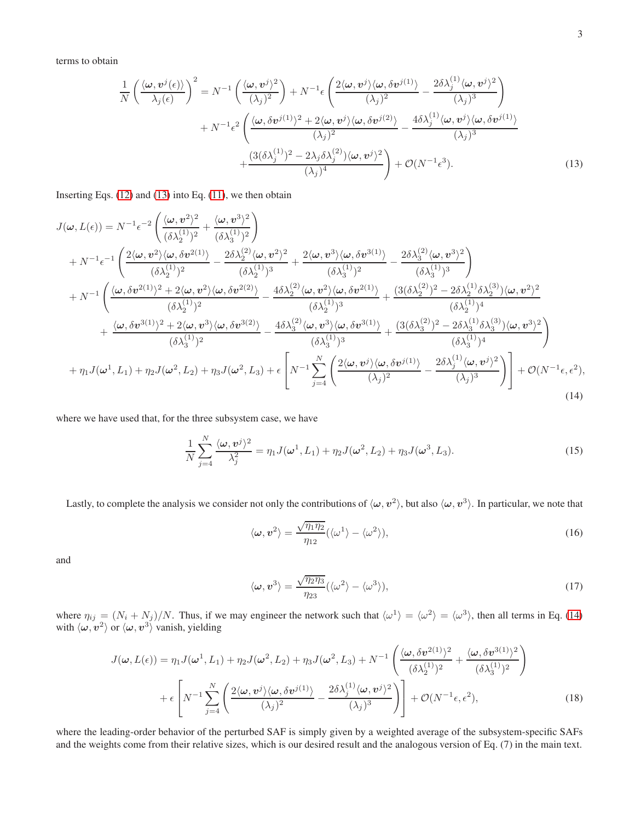terms to obtain

<span id="page-7-0"></span>
$$
\frac{1}{N} \left( \frac{\langle \omega, v^{j}(\epsilon) \rangle}{\lambda_{j}(\epsilon)} \right)^{2} = N^{-1} \left( \frac{\langle \omega, v^{j} \rangle^{2}}{(\lambda_{j})^{2}} \right) + N^{-1} \epsilon \left( \frac{2 \langle \omega, v^{j} \rangle \langle \omega, \delta v^{j(1)} \rangle}{(\lambda_{j})^{2}} - \frac{2 \delta \lambda_{j}^{(1)} \langle \omega, v^{j} \rangle^{2}}{(\lambda_{j})^{3}} \right) + N^{-1} \epsilon^{2} \left( \frac{\langle \omega, \delta v^{j(1)} \rangle^{2} + 2 \langle \omega, v^{j} \rangle \langle \omega, \delta v^{j(2)} \rangle}{(\lambda_{j})^{2}} - \frac{4 \delta \lambda_{j}^{(1)} \langle \omega, v^{j} \rangle \langle \omega, \delta v^{j(1)} \rangle}{(\lambda_{j})^{3}} \right) + \frac{\left( 3(\delta \lambda_{j}^{(1)})^{2} - 2 \lambda_{j} \delta \lambda_{j}^{(2)} \right) \langle \omega, v^{j} \rangle^{2}}{(\lambda_{j})^{4}} \right) + \mathcal{O}(N^{-1} \epsilon^{3}).
$$
\n(13)

Inserting Eqs. [\(12\)](#page-6-5) and [\(13\)](#page-7-0) into Eq. [\(11\)](#page-6-3), we then obtain

$$
J(\omega, L(\epsilon)) = N^{-1} \epsilon^{-2} \left( \frac{\langle \omega, v^2 \rangle^2}{(\delta \lambda_2^{(1)})^2} + \frac{\langle \omega, v^3 \rangle^2}{(\delta \lambda_3^{(1)})^2} \right) + N^{-1} \epsilon^{-1} \left( \frac{2 \langle \omega, v^2 \rangle \langle \omega, \delta v^{2(1)} \rangle}{(\delta \lambda_2^{(1)})^2} - \frac{2 \delta \lambda_2^{(2)} \langle \omega, v^2 \rangle^2}{(\delta \lambda_2^{(1)})^3} + \frac{2 \langle \omega, v^3 \rangle \langle \omega, \delta v^{3(1)} \rangle}{(\delta \lambda_3^{(1)})^2} - \frac{2 \delta \lambda_3^{(2)} \langle \omega, v^3 \rangle^2}{(\delta \lambda_3^{(1)})^3} \right) + N^{-1} \left( \frac{\langle \omega, \delta v^{2(1)} \rangle^2 + 2 \langle \omega, v^2 \rangle \langle \omega, \delta v^{2(2)} \rangle}{(\delta \lambda_2^{(1)})^2} - \frac{4 \delta \lambda_2^{(2)} \langle \omega, v^2 \rangle \langle \omega, \delta v^{2(1)} \rangle}{(\delta \lambda_2^{(1)})^3} + \frac{(3(\delta \lambda_2^{(2)})^2 - 2 \delta \lambda_2^{(1)} \delta \lambda_2^{(3)} \rangle \langle \omega, v^2 \rangle^2}{(\delta \lambda_2^{(1)})^4} \right) + \frac{\langle \omega, \delta v^{3(1)} \rangle^2 + 2 \langle \omega, v^3 \rangle \langle \omega, \delta v^{3(2)} \rangle}{(\delta \lambda_3^{(1)})^2} - \frac{4 \delta \lambda_3^{(2)} \langle \omega, v^3 \rangle \langle \omega, \delta v^{3(1)} \rangle}{(\delta \lambda_3^{(1)})^3} + \frac{(3(\delta \lambda_3^{(2)})^2 - 2 \delta \lambda_3^{(1)} \delta \lambda_3^{(3)} \rangle \langle \omega, v^3 \rangle^2}{(\delta \lambda_3^{(1)})^4} \right) + \eta_1 J(\omega^1, L_1) + \eta_2 J(\omega^2, L_2) + \eta_3 J(\omega^2, L_3) + \epsilon \left[ N^{-1} \sum_{j=4}^N \left( \frac{2 \langle \omega, v^j \rangle \langle \omega, \delta v^{j(1)} \rangle}{(\lambda_j)^2} -
$$

where we have used that, for the three subsystem case, we have

$$
\frac{1}{N} \sum_{j=4}^{N} \frac{\langle \omega, v^{j} \rangle^{2}}{\lambda_{j}^{2}} = \eta_{1} J(\omega^{1}, L_{1}) + \eta_{2} J(\omega^{2}, L_{2}) + \eta_{3} J(\omega^{3}, L_{3}). \tag{15}
$$

Lastly, to complete the analysis we consider not only the contributions of  $\langle \omega, v^2 \rangle$ , but also  $\langle \omega, v^3 \rangle$ . In particular, we note that

<span id="page-7-1"></span>
$$
\langle \omega, v^2 \rangle = \frac{\sqrt{\eta_1 \eta_2}}{\eta_{12}} (\langle \omega^1 \rangle - \langle \omega^2 \rangle), \tag{16}
$$

and

$$
\langle \omega, v^3 \rangle = \frac{\sqrt{\eta_2 \eta_3}}{\eta_{23}} (\langle \omega^2 \rangle - \langle \omega^3 \rangle), \tag{17}
$$

where  $\eta_{ij} = (N_i + N_j)/N$ . Thus, if we may engineer the network such that  $\langle \omega^1 \rangle = \langle \omega^2 \rangle = \langle \omega^3 \rangle$ , then all terms in Eq. [\(14\)](#page-7-1) with  $\langle \omega, v^2 \rangle$  or  $\langle \omega, v^3 \rangle$  vanish, yielding

$$
J(\boldsymbol{\omega}, L(\epsilon)) = \eta_1 J(\boldsymbol{\omega}^1, L_1) + \eta_2 J(\boldsymbol{\omega}^2, L_2) + \eta_3 J(\boldsymbol{\omega}^2, L_3) + N^{-1} \left( \frac{\langle \boldsymbol{\omega}, \delta \boldsymbol{v}^{2(1)} \rangle^2}{(\delta \lambda_2^{(1)})^2} + \frac{\langle \boldsymbol{\omega}, \delta \boldsymbol{v}^{3(1)} \rangle^2}{(\delta \lambda_3^{(1)})^2} \right) + \epsilon \left[ N^{-1} \sum_{j=4}^N \left( \frac{2 \langle \boldsymbol{\omega}, \boldsymbol{v}^j \rangle \langle \boldsymbol{\omega}, \delta \boldsymbol{v}^{j(1)} \rangle}{(\lambda_j)^2} - \frac{2 \delta \lambda_j^{(1)} \langle \boldsymbol{\omega}, \boldsymbol{v}^j \rangle^2}{(\lambda_j)^3} \right) \right] + \mathcal{O}(N^{-1} \epsilon, \epsilon^2), \tag{18}
$$

where the leading-order behavior of the perturbed SAF is simply given by a weighted average of the subsystem-specific SAFs and the weights come from their relative sizes, which is our desired result and the analogous version of Eq. (7) in the main text.